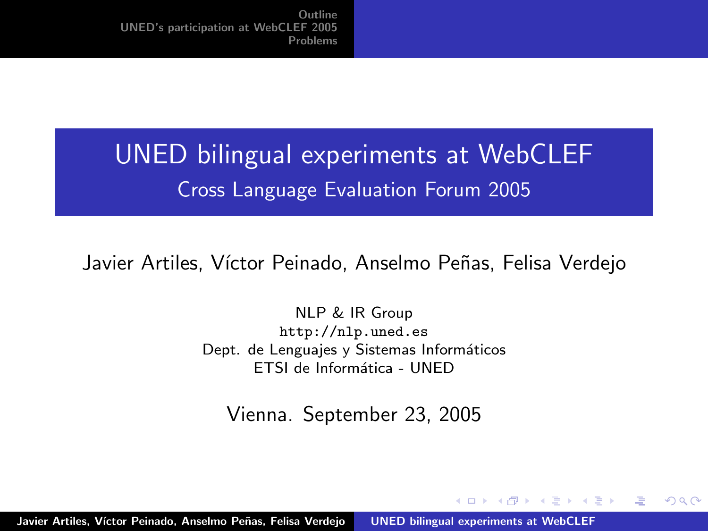# UNED bilingual experiments at WebCLEF Cross Language Evaluation Forum 2005

Javier Artiles, Víctor Peinado, Anselmo Peñas, Felisa Verdejo

NLP & IR Group http://nlp.uned.es Dept. de Lenguajes y Sistemas Informáticos ETSI de Informática - UNED

Vienna. September 23, 2005

オター オラト オラト

<span id="page-0-0"></span>へのへ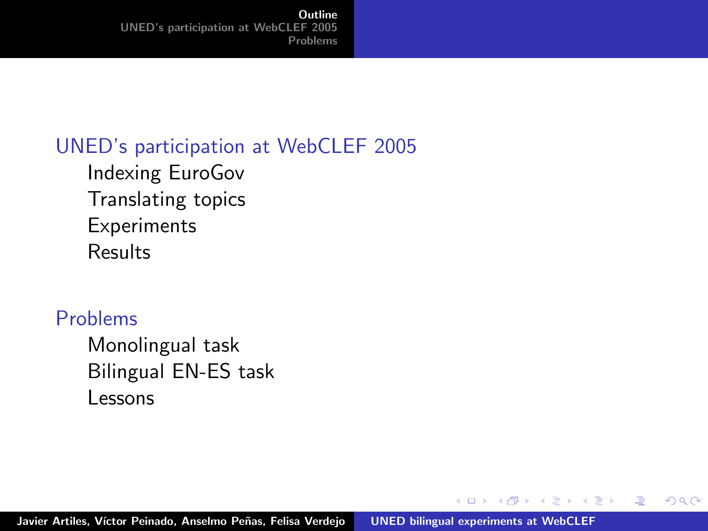#### [UNED's participation at WebCLEF 2005](#page-2-0)

[Indexing EuroGov](#page-2-0) [Translating topics](#page-3-0) [Experiments](#page-6-0) [Results](#page-7-0)

#### [Problems](#page-8-0)

[Monolingual task](#page-8-0) [Bilingual EN-ES task](#page-9-0) [Lessons](#page-10-0)

メ御き メミメ メミド

 $\leftarrow$   $\Box$ 

哇

<span id="page-1-0"></span> $2Q$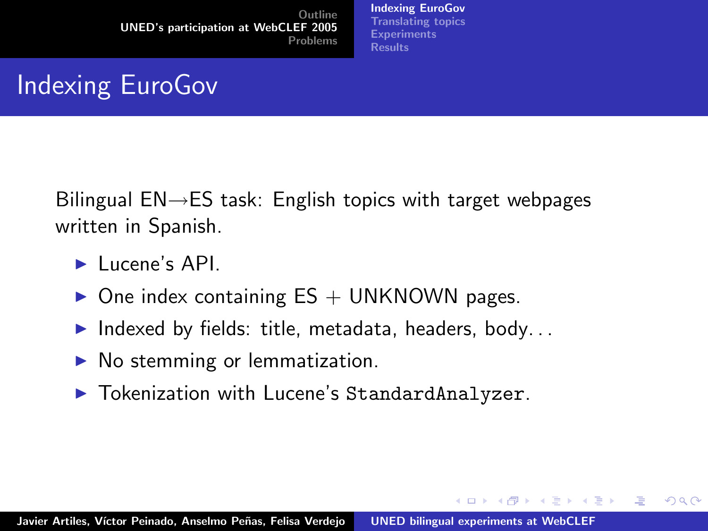[Indexing EuroGov](#page-2-0) [Translating topics](#page-3-0) **[Experiments](#page-6-0)** [Results](#page-7-0)

イロト イ部 トイヨ トイヨト

哇

<span id="page-2-0"></span>つくい

# Indexing EuroGov

Bilingual EN→ES task: English topics with target webpages written in Spanish.

- $\blacktriangleright$  Lucene's API.
- $\triangleright$  One index containing ES + UNKNOWN pages.
- Indexed by fields: title, metadata, headers, body...
- $\blacktriangleright$  No stemming or lemmatization.
- ▶ Tokenization with Lucene's StandardAnalyzer.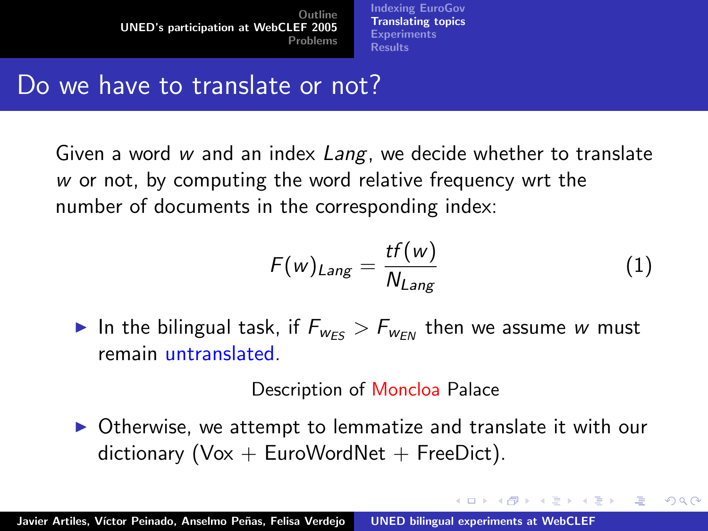[Indexing EuroGov](#page-2-0) [Translating topics](#page-3-0) **[Experiments](#page-6-0)** [Results](#page-7-0)

## Do we have to translate or not?

Given a word  $w$  and an index  $Lang$ , we decide whether to translate w or not, by computing the word relative frequency wrt the number of documents in the corresponding index:

$$
F(w)_{Lang} = \frac{tf(w)}{N_{Lang}} \tag{1}
$$

イロメ イ部メ イヨメ イヨメー

<span id="page-3-0"></span>へのへ

In the bilingual task, if  $F_{W_{ES}} > F_{W_{EN}}$  then we assume w must remain untranslated.

Description of Moncloa Palace

 $\triangleright$  Otherwise, we attempt to lemmatize and translate it with our dictionary ( $Vox + EuroWordNet + FreeDict$ ).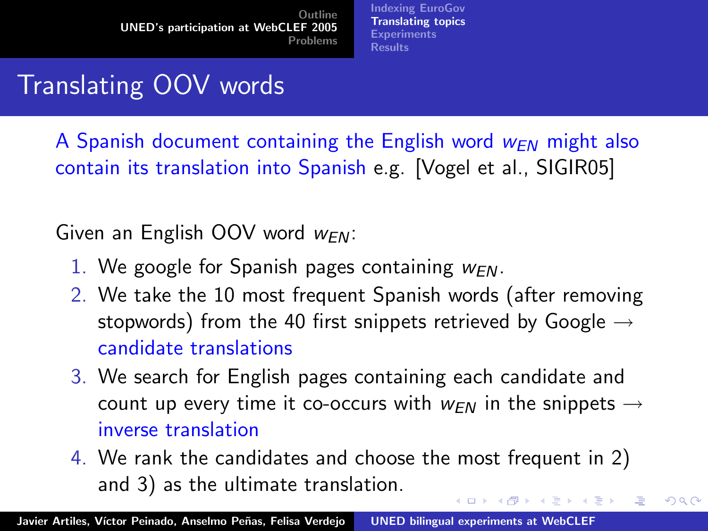[Indexing EuroGov](#page-2-0) [Translating topics](#page-3-0) **[Experiments](#page-6-0)** [Results](#page-7-0)

# Translating OOV words

A Spanish document containing the English word  $w_{FN}$  might also contain its translation into Spanish e.g. [Vogel et al., SIGIR05]

Given an English OOV word  $w_{FN}$ :

- 1. We google for Spanish pages containing  $w_{FN}$ .
- 2. We take the 10 most frequent Spanish words (after removing stopwords) from the 40 first snippets retrieved by Google  $\rightarrow$ candidate translations
- 3. We search for English pages containing each candidate and count up every time it co-occurs with  $w_{FN}$  in the snippets  $\rightarrow$ inverse translation
- 4. We rank the candidates and choose the most frequent in 2) and 3) as the ultimate translation. イロメ マ桐 メラミンマチャ

へのへ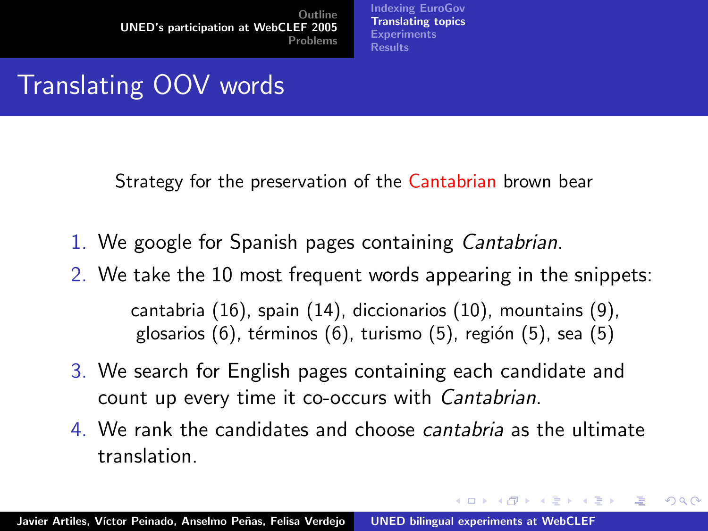[Indexing EuroGov](#page-2-0) [Translating topics](#page-3-0) **[Experiments](#page-6-0)** [Results](#page-7-0)

# Translating OOV words

Strategy for the preservation of the Cantabrian brown bear

- 1. We google for Spanish pages containing Cantabrian.
- 2. We take the 10 most frequent words appearing in the snippets: cantabria (16), spain (14), diccionarios (10), mountains (9), glosarios (6), términos (6), turismo (5), región (5), sea (5)
- 3. We search for English pages containing each candidate and count up every time it co-occurs with Cantabrian.
- 4. We rank the candidates and choose cantabria as the ultimate translation.

イロメ イ押 トイラ トイラメー

つへへ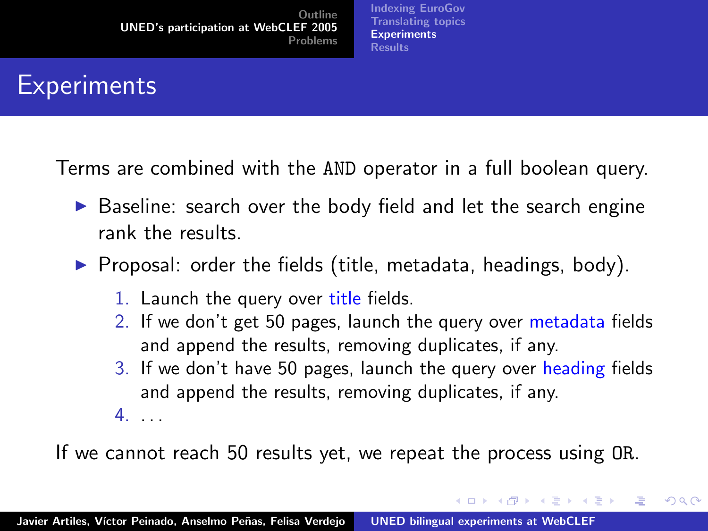[Indexing EuroGov](#page-2-0) [Translating topics](#page-3-0) **[Experiments](#page-6-0)** [Results](#page-7-0)

## **Experiments**

Terms are combined with the AND operator in a full boolean query.

- $\triangleright$  Baseline: search over the body field and let the search engine rank the results.
- $\triangleright$  Proposal: order the fields (title, metadata, headings, body).
	- 1. Launch the query over title fields.
	- 2. If we don't get 50 pages, launch the query over metadata fields and append the results, removing duplicates, if any.
	- 3. If we don't have 50 pages, launch the query over heading fields and append the results, removing duplicates, if any.

イロト イ押 トイモト イモト

<span id="page-6-0"></span>へのへ

4. . . .

If we cannot reach 50 results yet, we repeat the process using OR.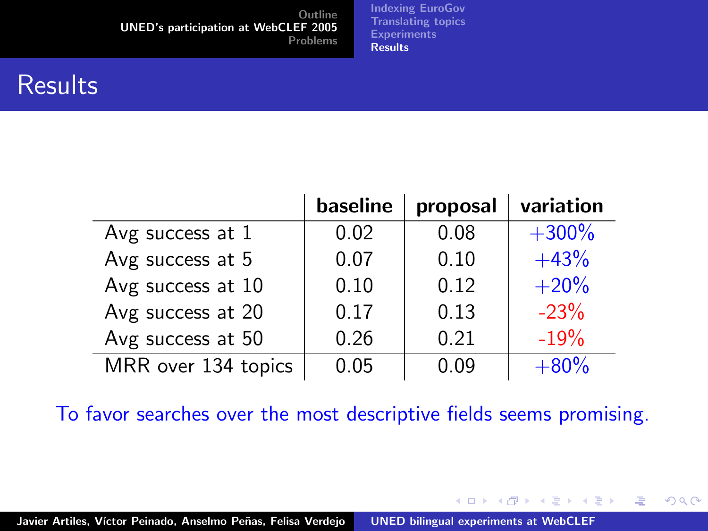[Indexing EuroGov](#page-2-0) [Translating topics](#page-3-0) **[Experiments](#page-6-0) [Results](#page-7-0)** 

### **Results**

|                     | baseline | proposal | variation |
|---------------------|----------|----------|-----------|
| Avg success at 1    | 0.02     | 0.08     | $+300%$   |
| Avg success at 5    | 0.07     | 0.10     | $+43%$    |
| Avg success at 10   | 0.10     | 0.12     | $+20%$    |
| Avg success at 20   | 0.17     | 0.13     | $-23%$    |
| Avg success at 50   | 0.26     | 0.21     | $-19%$    |
| MRR over 134 topics | 0.05     | 0.09     | $+80%$    |

To favor searches over the most descriptive fields seems promising.

イロメ イ部メ イヨメ イヨメー

造

<span id="page-7-0"></span> $2Q$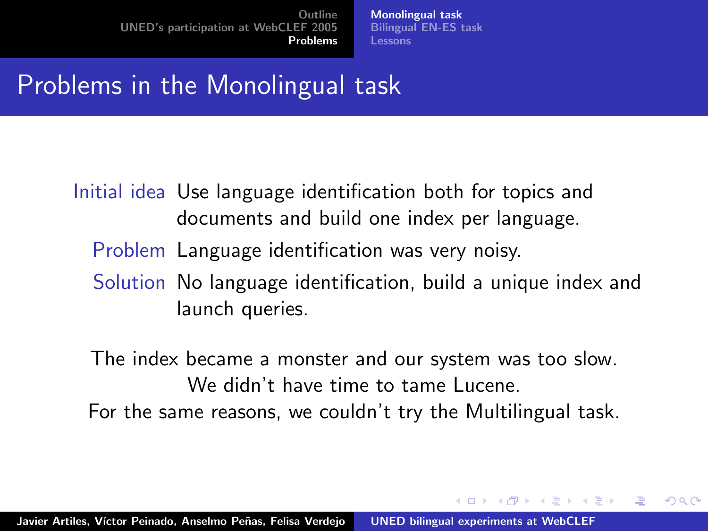[Monolingual task](#page-8-0) [Bilingual EN-ES task](#page-9-0) [Lessons](#page-10-0)

イロト イ押ト イチト イチト

<span id="page-8-0"></span> $\Omega$ 

## Problems in the Monolingual task

- Initial idea Use language identification both for topics and documents and build one index per language.
	- Problem Language identification was very noisy.
	- Solution No language identification, build a unique index and launch queries.

The index became a monster and our system was too slow. We didn't have time to tame Lucene. For the same reasons, we couldn't try the Multilingual task.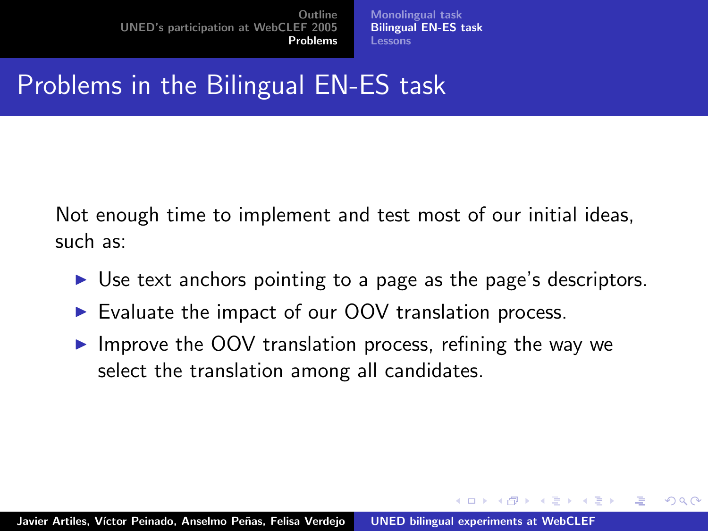[Monolingual task](#page-8-0) [Bilingual EN-ES task](#page-9-0) [Lessons](#page-10-0)

イロト イ押ト イチト イチト

<span id="page-9-0"></span>へのへ

# Problems in the Bilingual EN-ES task

Not enough time to implement and test most of our initial ideas, such as:

- $\triangleright$  Use text anchors pointing to a page as the page's descriptors.
- Evaluate the impact of our OOV translation process.
- $\triangleright$  Improve the OOV translation process, refining the way we select the translation among all candidates.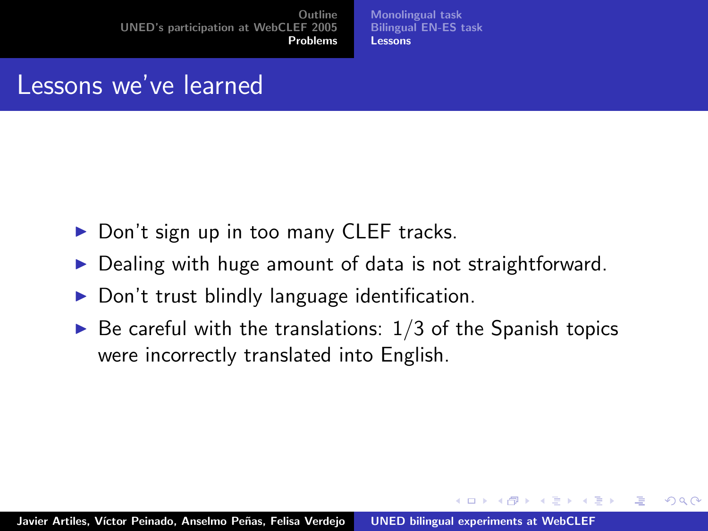[Monolingual task](#page-8-0) [Bilingual EN-ES task](#page-9-0) [Lessons](#page-10-0)

イロメ マ桐 メラミンマチャ

<span id="page-10-0"></span> $2Q$ 

### Lessons we've learned

- $\triangleright$  Don't sign up in too many CLEF tracks.
- Dealing with huge amount of data is not straightforward.
- $\triangleright$  Don't trust blindly language identification.
- $\triangleright$  Be careful with the translations:  $1/3$  of the Spanish topics were incorrectly translated into English.